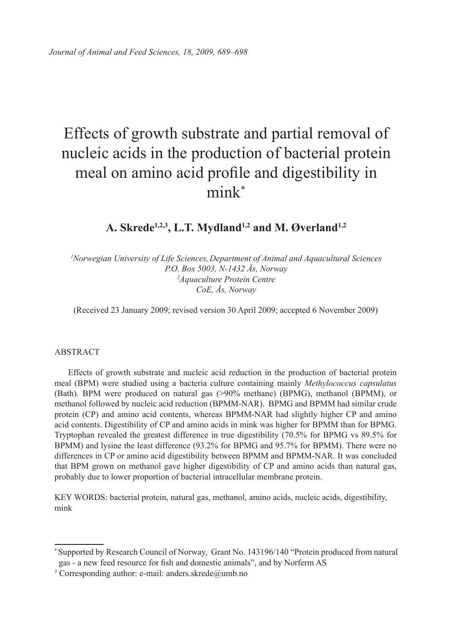# Effects of growth substrate and partial removal of nucleic acids in the production of bacterial protein meal on amino acid profile and digestibility in mink\*

# A. Skrede<sup>1,2,3</sup>, L.T. Mydland<sup>1,2</sup> and M. Øverland<sup>1,2</sup>

<sup>1</sup>Norwegian University of Life Sciences, Department of Animal and Aquacultural Sciences *P.O. Box 5003, N-1432 Ås, Norway 2 Aquaculture Protein Centre CoE, Ås, Norway*

(Received 23 January 2009; revised version 30 April 2009; accepted 6 November 2009)

#### ABSTRACT

Effects of growth substrate and nucleic acid reduction in the production of bacterial protein meal (BPM) were studied using a bacteria culture containing mainly *Methylococcus capsulatus* (Bath). BPM were produced on natural gas (>90% methane) (BPMG), methanol (BPMM), or methanol followed by nucleic acid reduction (BPMM-NAR). BPMG and BPMM had similar crude protein (CP) and amino acid contents, whereas BPMM-NAR had slightly higher CP and amino acid contents. Digestibility of CP and amino acids in mink was higher for BPMM than for BPMG. Tryptophan revealed the greatest difference in true digestibility (70.5% for BPMG vs 89.5% for BPMM) and lysine the least difference (93.2% for BPMG and 95.7% for BPMM). There were no differences in CP or amino acid digestibility between BPMM and BPMM-NAR. It was concluded that BPM grown on methanol gave higher digestibility of CP and amino acids than natural gas, probably due to lower proportion of bacterial intracellular membrane protein.

KEY WORDS: bacterial protein, natural gas, methanol, amino acids, nucleic acids, digestibility, mink

<sup>\*</sup> Supported by Research Council of Norway, Grant No. 143196/140 "Protein produced from natural gas - a new feed resource for fish and domestic animals", and by Norferm AS  $\frac{3}{3}$  Corresponding author: e-mail: anders.skrede@umb.no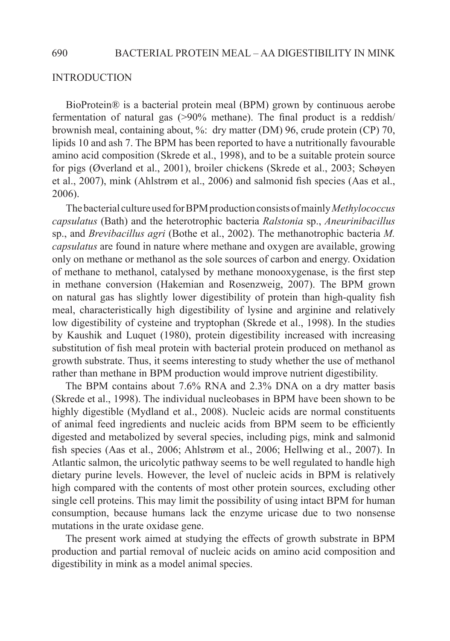#### **INTRODUCTION**

BioProtein® is a bacterial protein meal (BPM) grown by continuous aerobe fermentation of natural gas (>90% methane). The final product is a reddish/ brownish meal, containing about, %: dry matter (DM) 96, crude protein (CP) 70, lipids 10 and ash 7. The BPM has been reported to have a nutritionally favourable amino acid composition (Skrede et al., 1998), and to be a suitable protein source for pigs (Øverland et al., 2001), broiler chickens (Skrede et al., 2003; Schøyen et al., 2007), mink (Ahlstrøm et al., 2006) and salmonid fish species (Aas et al., 2006).

The bacterial culture used for BPM production consists of mainly *Methylococcus capsulatus* (Bath) and the heterotrophic bacteria *Ralstonia* sp., *Aneurinibacillus*  sp., and *Brevibacillus agri* (Bothe et al., 2002). The methanotrophic bacteria *M. capsulatus* are found in nature where methane and oxygen are available, growing only on methane or methanol as the sole sources of carbon and energy. Oxidation of methane to methanol, catalysed by methane monooxygenase, is the first step in methane conversion (Hakemian and Rosenzweig, 2007). The BPM grown on natural gas has slightly lower digestibility of protein than high-quality fish meal, characteristically high digestibility of lysine and arginine and relatively low digestibility of cysteine and tryptophan (Skrede et al., 1998). In the studies by Kaushik and Luquet (1980), protein digestibility increased with increasing substitution of fish meal protein with bacterial protein produced on methanol as growth substrate. Thus, it seems interesting to study whether the use of methanol rather than methane in BPM production would improve nutrient digestibility.

The BPM contains about 7.6% RNA and 2.3% DNA on a dry matter basis (Skrede et al., 1998). The individual nucleobases in BPM have been shown to be highly digestible (Mydland et al., 2008). Nucleic acids are normal constituents of animal feed ingredients and nucleic acids from BPM seem to be efficiently digested and metabolized by several species, including pigs, mink and salmonid fish species (Aas et al., 2006; Ahlstrøm et al., 2006; Hellwing et al., 2007). In Atlantic salmon, the uricolytic pathway seems to be well regulated to handle high dietary purine levels. However, the level of nucleic acids in BPM is relatively high compared with the contents of most other protein sources, excluding other single cell proteins. This may limit the possibility of using intact BPM for human consumption, because humans lack the enzyme uricase due to two nonsense mutations in the urate oxidase gene.

The present work aimed at studying the effects of growth substrate in BPM production and partial removal of nucleic acids on amino acid composition and digestibility in mink as a model animal species.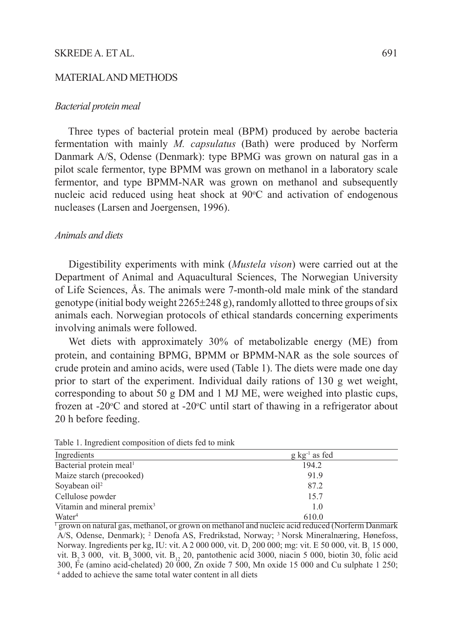## SKREDE A. ET AL. 691

# MATERIAL AND METHODS

#### *Bacterial protein meal*

Three types of bacterial protein meal (BPM) produced by aerobe bacteria fermentation with mainly *M. capsulatus* (Bath) were produced by Norferm Danmark A/S, Odense (Denmark): type BPMG was grown on natural gas in a pilot scale fermentor, type BPMM was grown on methanol in a laboratory scale fermentor, and type BPMM-NAR was grown on methanol and subsequently nucleic acid reduced using heat shock at 90°C and activation of endogenous nucleases (Larsen and Joergensen, 1996).

#### *Animals and diets*

Digestibility experiments with mink (*Mustela vison*) were carried out at the Department of Animal and Aquacultural Sciences, The Norwegian University of Life Sciences, Ås. The animals were 7-month-old male mink of the standard genotype (initial body weight  $2265\pm248$  g), randomly allotted to three groups of six animals each. Norwegian protocols of ethical standards concerning experiments involving animals were followed.

Wet diets with approximately 30% of metabolizable energy (ME) from protein, and containing BPMG, BPMM or BPMM-NAR as the sole sources of crude protein and amino acids, were used (Table 1). The diets were made one day prior to start of the experiment. Individual daily rations of 130 g wet weight, corresponding to about 50 g DM and 1 MJ ME, were weighed into plastic cups, frozen at -20 $\degree$ C and stored at -20 $\degree$ C until start of thawing in a refrigerator about 20 h before feeding.

| Ingredients                             | $g \text{ kg}^{-1}$ as fed |  |  |
|-----------------------------------------|----------------------------|--|--|
| Bacterial protein meal <sup>1</sup>     | 194.2                      |  |  |
| Maize starch (precooked)                | 91.9                       |  |  |
| Sovabean oil <sup>2</sup>               | 87.2                       |  |  |
| Cellulose powder                        | 15.7                       |  |  |
| Vitamin and mineral premix <sup>3</sup> | 1.0                        |  |  |
| Water <sup>4</sup>                      | 6100                       |  |  |

Table 1. Ingredient composition of diets fed to mink

Water<sup>4</sup> 610.0<br><sup>1</sup> grown on natural gas, methanol, or grown on methanol and nucleic acid reduced (Norferm Danmark A/S, Odense, Denmark); 2 Denofa AS, Fredrikstad, Norway; 3 Norsk Mineralnæring, Hønefoss, Norway. Ingredients per kg, IU: vit. A 2 000 000, vit.  $D_3$  200 000; mg: vit. E 50 000, vit.  $B_1$  15 000, vit. B<sub>2</sub> 3 000, vit. B<sub>6</sub> 3000, vit. B<sub>12</sub> 20, pantothenic acid 3000, niacin 5 000, biotin 30, folic acid 300, Fe (amino acid-chelated) 20 000,  $\overline{Z}$ n oxide 7 500, Mn oxide 15 000 and Cu sulphate 1 250; <sup>4</sup> added to achieve the same total water content in all diets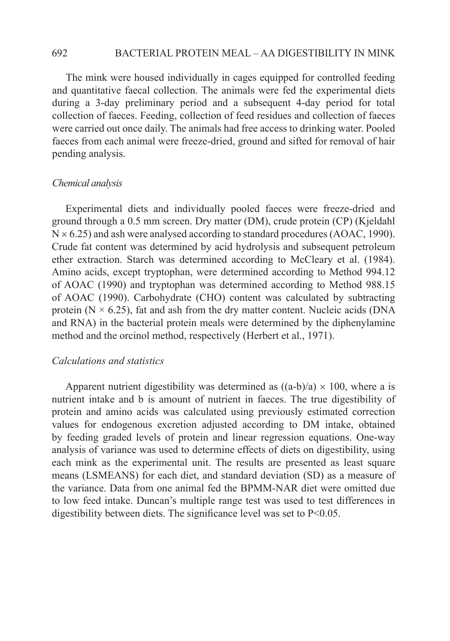#### 692 BACTERIAL PROTEIN MEAL – AA DIGESTIBILITY IN MINK

The mink were housed individually in cages equipped for controlled feeding and quantitative faecal collection. The animals were fed the experimental diets during a 3-day preliminary period and a subsequent 4-day period for total collection of faeces. Feeding, collection of feed residues and collection of faeces were carried out once daily. The animals had free access to drinking water. Pooled faeces from each animal were freeze-dried, ground and sifted for removal of hair pending analysis.

#### *Chemical analysis*

Experimental diets and individually pooled faeces were freeze-dried and ground through a 0.5 mm screen. Dry matter (DM), crude protein (CP) (Kjeldahl  $N \times 6.25$ ) and ash were analysed according to standard procedures (AOAC, 1990). Crude fat content was determined by acid hydrolysis and subsequent petroleum ether extraction. Starch was determined according to McCleary et al. (1984). Amino acids, except tryptophan, were determined according to Method 994.12 of AOAC (1990) and tryptophan was determined according to Method 988.15 of AOAC (1990). Carbohydrate (CHO) content was calculated by subtracting protein ( $N \times 6.25$ ), fat and ash from the dry matter content. Nucleic acids (DNA and RNA) in the bacterial protein meals were determined by the diphenylamine method and the orcinol method, respectively (Herbert et al., 1971).

#### *Calculations and statistics*

Apparent nutrient digestibility was determined as  $((a-b)/a) \times 100$ , where a is nutrient intake and b is amount of nutrient in faeces. The true digestibility of protein and amino acids was calculated using previously estimated correction values for endogenous excretion adjusted according to DM intake, obtained by feeding graded levels of protein and linear regression equations. One-way analysis of variance was used to determine effects of diets on digestibility, using each mink as the experimental unit. The results are presented as least square means (LSMEANS) for each diet, and standard deviation (SD) as a measure of the variance. Data from one animal fed the BPMM-NAR diet were omitted due to low feed intake. Duncan's multiple range test was used to test differences in digestibility between diets. The significance level was set to P<0.05.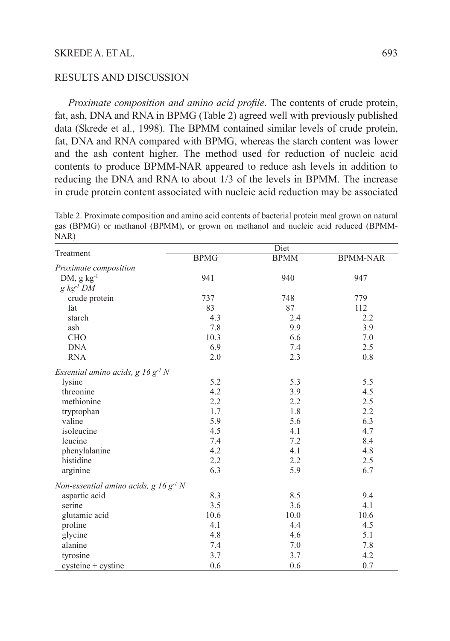## SKREDE A. ET AL. 693

# RESULTS AND DISCUSSION

*Proximate composition and amino acid profile.* The contents of crude protein, fat, ash, DNA and RNA in BPMG (Table 2) agreed well with previously published data (Skrede et al., 1998). The BPMM contained similar levels of crude protein, fat, DNA and RNA compared with BPMG, whereas the starch content was lower and the ash content higher. The method used for reduction of nucleic acid contents to produce BPMM-NAR appeared to reduce ash levels in addition to reducing the DNA and RNA to about 1/3 of the levels in BPMM. The increase in crude protein content associated with nucleic acid reduction may be associated

Table 2. Proximate composition and amino acid contents of bacterial protein meal grown on natural gas (BPMG) or methanol (BPMM), or grown on methanol and nucleic acid reduced (BPMM-NAR)

|                                                 | Diet        |             |                 |
|-------------------------------------------------|-------------|-------------|-----------------|
| Treatment                                       | <b>BPMG</b> | <b>BPMM</b> | <b>BPMM-NAR</b> |
| Proximate composition                           |             |             |                 |
| $DM, g kg-1$                                    | 941         | 940         | 947             |
| $g$ kg <sup>-1</sup> DM                         |             |             |                 |
| crude protein                                   | 737         | 748         | 779             |
| fat                                             | 83          | 87          | 112             |
| starch                                          | 4.3         | 2.4         | 2.2             |
| ash                                             | 7.8         | 9.9         | 3.9             |
| <b>CHO</b>                                      | 10.3        | 6.6         | 7.0             |
| <b>DNA</b>                                      | 6.9         | 7.4         | 2.5             |
| <b>RNA</b>                                      | 2.0         | 2.3         | 0.8             |
| Essential amino acids, $g \, 16 \, g^{-1} \, N$ |             |             |                 |
| lysine                                          | 5.2         | 5.3         | 5.5             |
| threonine                                       | 4.2         | 3.9         | 4.5             |
| methionine                                      | 2.2         | 2.2         | 2.5             |
| tryptophan                                      | 1.7         | 1.8         | 2.2             |
| valine                                          | 5.9         | 5.6         | 6.3             |
| isoleucine                                      | 4.5         | 4.1         | 4.7             |
| leucine                                         | 7.4         | 7.2         | 8.4             |
| phenylalanine                                   | 4.2         | 4.1         | 4.8             |
| histidine                                       | 2.2         | 2.2         | 2.5             |
| arginine                                        | 6.3         | 5.9         | 6.7             |
| Non-essential amino acids, $g$ 16 $g^{-1}$ N    |             |             |                 |
| aspartic acid                                   | 8.3         | 8.5         | 9.4             |
| serine                                          | 3.5         | 3.6         | 4.1             |
| glutamic acid                                   | 10.6        | 10.0        | 10.6            |
| proline                                         | 4.1         | 4.4         | 4.5             |
| glycine                                         | 4.8         | 4.6         | 5.1             |
| alanine                                         | 7.4         | 7.0         | 7.8             |
| tyrosine                                        | 3.7         | 3.7         | 4.2             |
| $c$ ysteine + $c$ ystine                        | 0.6         | 0.6         | 0.7             |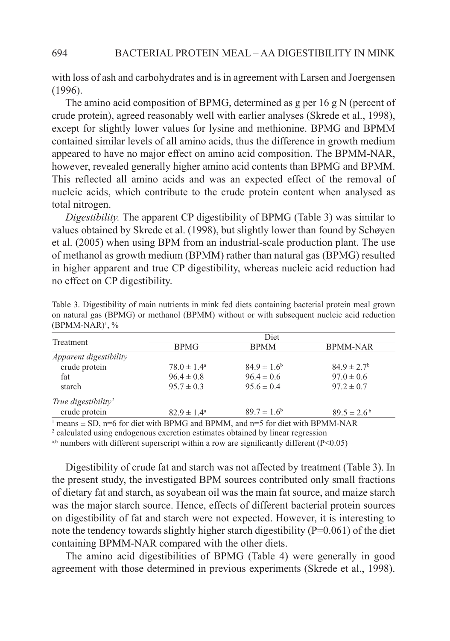with loss of ash and carbohydrates and is in agreement with Larsen and Joergensen (1996).

The amino acid composition of BPMG, determined as g per 16 g N (percent of crude protein), agreed reasonably well with earlier analyses (Skrede et al., 1998), except for slightly lower values for lysine and methionine. BPMG and BPMM contained similar levels of all amino acids, thus the difference in growth medium appeared to have no major effect on amino acid composition. The BPMM-NAR, however, revealed generally higher amino acid contents than BPMG and BPMM. This reflected all amino acids and was an expected effect of the removal of nucleic acids, which contribute to the crude protein content when analysed as total nitrogen.

*Digestibility.* The apparent CP digestibility of BPMG (Table 3) was similar to values obtained by Skrede et al. (1998), but slightly lower than found by Schøyen et al. (2005) when using BPM from an industrial-scale production plant. The use of methanol as growth medium (BPMM) rather than natural gas (BPMG) resulted in higher apparent and true CP digestibility, whereas nucleic acid reduction had no effect on CP digestibility.

| Treatment                       | Diet                   |                  |                             |  |
|---------------------------------|------------------------|------------------|-----------------------------|--|
|                                 | <b>BPMG</b>            | <b>BPMM</b>      | <b>BPMM-NAR</b>             |  |
| <i>Apparent digestibility</i>   |                        |                  |                             |  |
| crude protein                   | $78.0 \pm 1.4^{\circ}$ | $84.9 \pm 1.6^b$ | $84.9 \pm 2.7$ <sup>b</sup> |  |
| fat                             | $96.4 \pm 0.8$         | $96.4 \pm 0.6$   | $97.0 \pm 0.6$              |  |
| starch                          | $95.7 \pm 0.3$         | $95.6 \pm 0.4$   | $97.2 \pm 0.7$              |  |
| True digestibility <sup>2</sup> |                        |                  |                             |  |
| crude protein                   | $82.9 \pm 1.4^{\circ}$ | $89.7 \pm 1.6^b$ | $89.5 \pm 2.6^{\circ}$      |  |
|                                 |                        |                  |                             |  |

Table 3. Digestibility of main nutrients in mink fed diets containing bacterial protein meal grown on natural gas (BPMG) or methanol (BPMM) without or with subsequent nucleic acid reduction (BPMM-NAR)1 , %

<sup>1</sup> means  $\pm$  SD, n=6 for diet with BPMG and BPMM, and n=5 for diet with BPMM-NAR  $^2$  calculated using endogenous excretion estimates obtained by linear regression

<sup>2</sup> calculated using endogenous excretion estimates obtained by linear regression

 $a$ ,b numbers with different superscript within a row are significantly different (P<0.05)

Digestibility of crude fat and starch was not affected by treatment (Table 3). In the present study, the investigated BPM sources contributed only small fractions of dietary fat and starch, as soyabean oil was the main fat source, and maize starch was the major starch source. Hence, effects of different bacterial protein sources on digestibility of fat and starch were not expected. However, it is interesting to note the tendency towards slightly higher starch digestibility  $(P=0.061)$  of the diet containing BPMM-NAR compared with the other diets.

The amino acid digestibilities of BPMG (Table 4) were generally in good agreement with those determined in previous experiments (Skrede et al., 1998).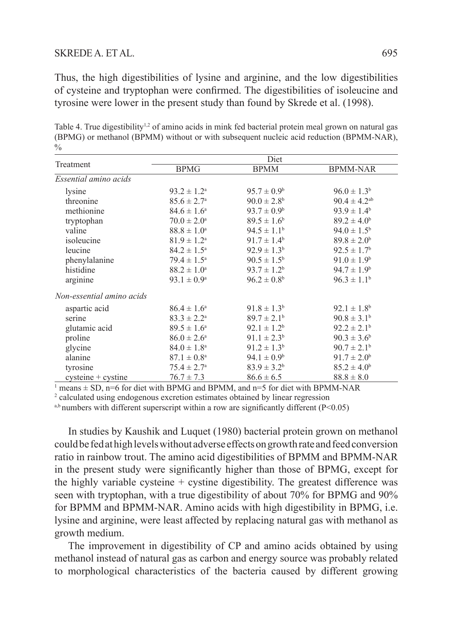## SKREDE A. ET AL. 695

Thus, the high digestibilities of lysine and arginine, and the low digestibilities of cysteine and tryptophan were confirmed. The digestibilities of isoleucine and tyrosine were lower in the present study than found by Skrede et al. (1998).

Table 4. True digestibility<sup>1,2</sup> of amino acids in mink fed bacterial protein meal grown on natural gas (BPMG) or methanol (BPMM) without or with subsequent nucleic acid reduction (BPMM-NAR),  $\frac{0}{0}$ 

| Treatment                 | Diet                   |                        |                        |  |
|---------------------------|------------------------|------------------------|------------------------|--|
|                           | <b>BPMG</b>            | <b>BPMM</b>            | <b>BPMM-NAR</b>        |  |
| Essential amino acids     |                        |                        |                        |  |
| lysine                    | $93.2 \pm 1.2^{\rm a}$ | $95.7 \pm 0.9^{\rm b}$ | $96.0 \pm 1.3^b$       |  |
| threonine                 | $85.6 \pm 2.7^{\circ}$ | $90.0 \pm 2.8^{\rm b}$ | $90.4 \pm 4.2^{ab}$    |  |
| methionine                | $84.6 \pm 1.6^{\circ}$ | $93.7 \pm 0.9^b$       | $93.9 \pm 1.4^{\rm b}$ |  |
| tryptophan                | $70.0 \pm 2.0^{\circ}$ | $89.5 \pm 1.6^b$       | $89.2 \pm 4.0^b$       |  |
| valine                    | $88.8 \pm 1.0^{\circ}$ | $94.5 \pm 1.1^{\rm b}$ | $94.0 \pm 1.5^{\rm b}$ |  |
| isoleucine                | $81.9 \pm 1.2^{\rm a}$ | $91.7 \pm 1.4^{\circ}$ | $89.8 \pm 2.0^b$       |  |
| leucine                   | $84.2 \pm 1.5^{\circ}$ | $92.9 \pm 1.3^{\rm b}$ | $92.5 \pm 1.7^{\rm b}$ |  |
| phenylalanine             | $79.4 \pm 1.5^{\circ}$ | $90.5 \pm 1.5^{\rm b}$ | $91.0 \pm 1.9^b$       |  |
| histidine                 | $88.2 \pm 1.0^a$       | $93.7 \pm 1.2^b$       | $94.7 \pm 1.9^b$       |  |
| arginine                  | $93.1 \pm 0.9^{\circ}$ | $96.2 \pm 0.8^{\rm b}$ | $96.3 \pm 1.1^b$       |  |
| Non-essential amino acids |                        |                        |                        |  |
| aspartic acid             | $86.4 \pm 1.6^{\circ}$ | $91.8 \pm 1.3^b$       | $92.1 \pm 1.8^b$       |  |
| serine                    | $83.3 \pm 2.2^{\circ}$ | $89.7 \pm 2.1^{\rm b}$ | $90.8 \pm 3.1^{\rm b}$ |  |
| glutamic acid             | $89.5 \pm 1.6^{\circ}$ | $92.1 \pm 1.2^b$       | $92.2 \pm 2.1^{\circ}$ |  |
| proline                   | $86.0 \pm 2.6^{\circ}$ | $91.1 \pm 2.3^b$       | $90.3 \pm 3.6^b$       |  |
| glycine                   | $84.0 \pm 1.8^{\circ}$ | $91.2 \pm 1.3^b$       | $90.7 \pm 2.1^{\rm b}$ |  |
| alanine                   | $87.1 \pm 0.8^{\circ}$ | $94.1 \pm 0.9^b$       | $91.7 \pm 2.0^b$       |  |
| tyrosine                  | $75.4 \pm 2.7^{\circ}$ | $83.9 \pm 3.2^b$       | $85.2 \pm 4.0^b$       |  |
| $c$ ysteine + $c$ ystine  | $76.7 \pm 7.3$         | $86.6 \pm 6.5$         | $88.8 \pm 8.0$         |  |

 $1$  means  $\pm$  SD, n=6 for diet with BPMG and BPMM, and n=5 for diet with BPMM-NAR

<sup>2</sup> calculated using endogenous excretion estimates obtained by linear regression

 $a,b$  numbers with different superscript within a row are significantly different (P<0.05)

In studies by Kaushik and Luquet (1980) bacterial protein grown on methanol could be fed at high levels without adverse effects on growth rate and feed conversion ratio in rainbow trout. The amino acid digestibilities of BPMM and BPMM-NAR in the present study were significantly higher than those of BPMG, except for the highly variable cysteine  $+$  cystine digestibility. The greatest difference was seen with tryptophan, with a true digestibility of about 70% for BPMG and 90% for BPMM and BPMM-NAR. Amino acids with high digestibility in BPMG, i.e. lysine and arginine, were least affected by replacing natural gas with methanol as growth medium.

The improvement in digestibility of CP and amino acids obtained by using methanol instead of natural gas as carbon and energy source was probably related to morphological characteristics of the bacteria caused by different growing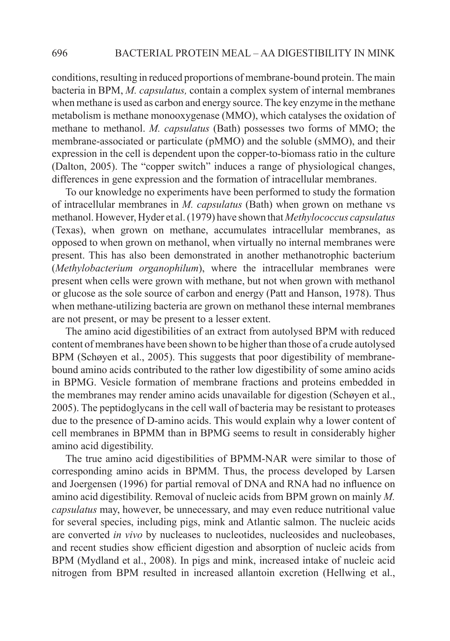conditions, resulting in reduced proportions of membrane-bound protein. The main bacteria in BPM, *M. capsulatus,* contain a complex system of internal membranes when methane is used as carbon and energy source. The key enzyme in the methane metabolism is methane monooxygenase (MMO), which catalyses the oxidation of methane to methanol. *M. capsulatus* (Bath) possesses two forms of MMO; the membrane-associated or particulate (pMMO) and the soluble (sMMO), and their expression in the cell is dependent upon the copper-to-biomass ratio in the culture (Dalton, 2005). The "copper switch" induces a range of physiological changes, differences in gene expression and the formation of intracellular membranes.

To our knowledge no experiments have been performed to study the formation of intracellular membranes in *M. capsulatus* (Bath) when grown on methane vs methanol. However, Hyder et al. (1979) have shown that *Methylococcus capsulatus* (Texas), when grown on methane, accumulates intracellular membranes, as opposed to when grown on methanol, when virtually no internal membranes were present. This has also been demonstrated in another methanotrophic bacterium (*Methylobacterium organophilum*), where the intracellular membranes were present when cells were grown with methane, but not when grown with methanol or glucose as the sole source of carbon and energy (Patt and Hanson, 1978). Thus when methane-utilizing bacteria are grown on methanol these internal membranes are not present, or may be present to a lesser extent.

The amino acid digestibilities of an extract from autolysed BPM with reduced content of membranes have been shown to be higher than those of a crude autolysed BPM (Schøyen et al., 2005). This suggests that poor digestibility of membranebound amino acids contributed to the rather low digestibility of some amino acids in BPMG. Vesicle formation of membrane fractions and proteins embedded in the membranes may render amino acids unavailable for digestion (Schøyen et al., 2005). The peptidoglycans in the cell wall of bacteria may be resistant to proteases due to the presence of D-amino acids. This would explain why a lower content of cell membranes in BPMM than in BPMG seems to result in considerably higher amino acid digestibility.

The true amino acid digestibilities of BPMM-NAR were similar to those of corresponding amino acids in BPMM. Thus, the process developed by Larsen and Joergensen (1996) for partial removal of DNA and RNA had no influence on amino acid digestibility. Removal of nucleic acids from BPM grown on mainly *M. capsulatus* may, however, be unnecessary, and may even reduce nutritional value for several species, including pigs, mink and Atlantic salmon. The nucleic acids are converted *in vivo* by nucleases to nucleotides, nucleosides and nucleobases, and recent studies show efficient digestion and absorption of nucleic acids from BPM (Mydland et al., 2008). In pigs and mink, increased intake of nucleic acid nitrogen from BPM resulted in increased allantoin excretion (Hellwing et al.,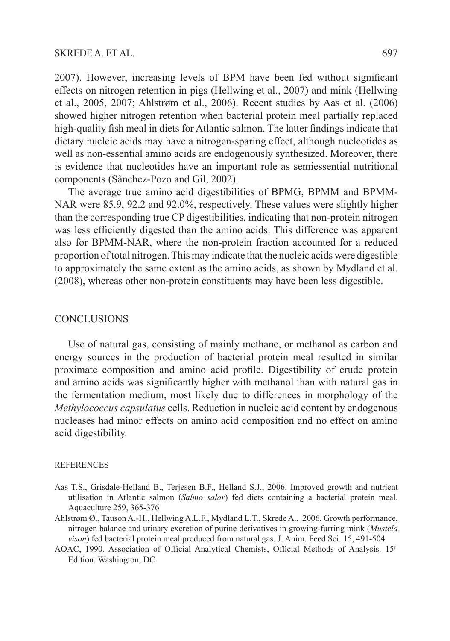2007). However, increasing levels of BPM have been fed without significant effects on nitrogen retention in pigs (Hellwing et al., 2007) and mink (Hellwing et al., 2005, 2007; Ahlstrøm et al., 2006). Recent studies by Aas et al. (2006) showed higher nitrogen retention when bacterial protein meal partially replaced high-quality fish meal in diets for Atlantic salmon. The latter findings indicate that dietary nucleic acids may have a nitrogen-sparing effect, although nucleotides as well as non-essential amino acids are endogenously synthesized. Moreover, there is evidence that nucleotides have an important role as semiessential nutritional components (Sànchez-Pozo and Gil, 2002).

The average true amino acid digestibilities of BPMG, BPMM and BPMM-NAR were 85.9, 92.2 and 92.0%, respectively. These values were slightly higher than the corresponding true CP digestibilities, indicating that non-protein nitrogen was less efficiently digested than the amino acids. This difference was apparent also for BPMM-NAR, where the non-protein fraction accounted for a reduced proportion of total nitrogen. This may indicate that the nucleic acids were digestible to approximately the same extent as the amino acids, as shown by Mydland et al. (2008), whereas other non-protein constituents may have been less digestible.

#### **CONCLUSIONS**

Use of natural gas, consisting of mainly methane, or methanol as carbon and energy sources in the production of bacterial protein meal resulted in similar proximate composition and amino acid profile. Digestibility of crude protein and amino acids was significantly higher with methanol than with natural gas in the fermentation medium, most likely due to differences in morphology of the *Methylococcus capsulatus* cells. Reduction in nucleic acid content by endogenous nucleases had minor effects on amino acid composition and no effect on amino acid digestibility.

#### **REFERENCES**

- Aas T.S., Grisdale-Helland B., Terjesen B.F., Helland S.J., 2006. Improved growth and nutrient utilisation in Atlantic salmon (*Salmo salar*) fed diets containing a bacterial protein meal. Aquaculture 259, 365-376
- Ahlstrøm Ø., Tauson A.-H., Hellwing A.L.F., Mydland L.T., Skrede A., 2006. Growth performance, nitrogen balance and urinary excretion of purine derivatives in growing-furring mink (*Mustela vison*) fed bacterial protein meal produced from natural gas. J. Anim. Feed Sci. 15, 491-504
- AOAC, 1990. Association of Official Analytical Chemists, Official Methods of Analysis.  $15<sup>th</sup>$ Edition. Washington, DC